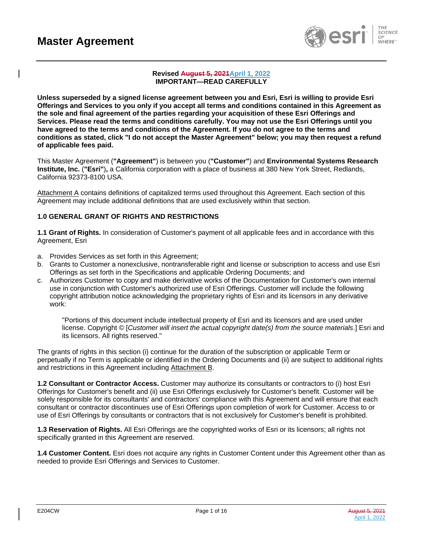

#### **Revised August 5, 2021April 1, 2022 IMPORTANT—READ CAREFULLY**

**Unless superseded by a signed license agreement between you and Esri, Esri is willing to provide Esri Offerings and Services to you only if you accept all terms and conditions contained in this Agreement as the sole and final agreement of the parties regarding your acquisition of these Esri Offerings and Services. Please read the terms and conditions carefully. You may not use the Esri Offerings until you have agreed to the terms and conditions of the Agreement. If you do not agree to the terms and conditions as stated, click "I do not accept the Master Agreement" below; you may then request a refund of applicable fees paid.**

This Master Agreement (**"Agreement"**) is between you (**"Customer"**) and **Environmental Systems Research Institute, Inc.** (**"Esri"**)**,** a California corporation with a place of business at 380 New York Street, Redlands, California 92373-8100 USA.

Attachment A contains definitions of capitalized terms used throughout this Agreement. Each section of this Agreement may include additional definitions that are used exclusively within that section.

## **1.0 GENERAL GRANT OF RIGHTS AND RESTRICTIONS**

**1.1 Grant of Rights.** In consideration of Customer's payment of all applicable fees and in accordance with this Agreement, Esri

- a. Provides Services as set forth in this Agreement;
- b. Grants to Customer a nonexclusive, nontransferable right and license or subscription to access and use Esri Offerings as set forth in the Specifications and applicable Ordering Documents; and
- c. Authorizes Customer to copy and make derivative works of the Documentation for Customer's own internal use in conjunction with Customer's authorized use of Esri Offerings. Customer will include the following copyright attribution notice acknowledging the proprietary rights of Esri and its licensors in any derivative work:

"Portions of this document include intellectual property of Esri and its licensors and are used under license. Copyright © [*Customer will insert the actual copyright date(s) from the source materials*.] Esri and its licensors. All rights reserved."

The grants of rights in this section (i) continue for the duration of the subscription or applicable Term or perpetually if no Term is applicable or identified in the Ordering Documents and (ii) are subject to additional rights and restrictions in this Agreement including Attachment B.

**1.2 Consultant or Contractor Access.** Customer may authorize its consultants or contractors to (i) host Esri Offerings for Customer's benefit and (ii) use Esri Offerings exclusively for Customer's benefit. Customer will be solely responsible for its consultants' and contractors' compliance with this Agreement and will ensure that each consultant or contractor discontinues use of Esri Offerings upon completion of work for Customer. Access to or use of Esri Offerings by consultants or contractors that is not exclusively for Customer's benefit is prohibited.

**1.3 Reservation of Rights.** All Esri Offerings are the copyrighted works of Esri or its licensors; all rights not specifically granted in this Agreement are reserved.

**1.4 Customer Content.** Esri does not acquire any rights in Customer Content under this Agreement other than as needed to provide Esri Offerings and Services to Customer.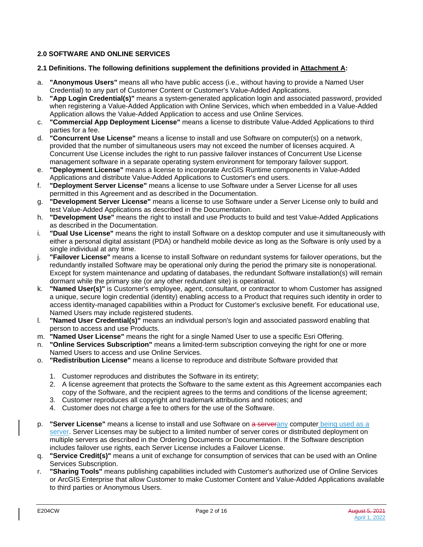## **2.0 SOFTWARE AND ONLINE SERVICES**

### **2.1 Definitions. The following definitions supplement the definitions provided in Attachment A:**

- a. **"Anonymous Users"** means all who have public access (i.e., without having to provide a Named User Credential) to any part of Customer Content or Customer's Value-Added Applications.
- b. **"App Login Credential(s)"** means a system-generated application login and associated password, provided when registering a Value-Added Application with Online Services, which when embedded in a Value-Added Application allows the Value-Added Application to access and use Online Services.
- c. **"Commercial App Deployment License"** means a license to distribute Value-Added Applications to third parties for a fee.
- d. **"Concurrent Use License"** means a license to install and use Software on computer(s) on a network, provided that the number of simultaneous users may not exceed the number of licenses acquired. A Concurrent Use License includes the right to run passive failover instances of Concurrent Use License management software in a separate operating system environment for temporary failover support.
- e. **"Deployment License"** means a license to incorporate ArcGIS Runtime components in Value-Added Applications and distribute Value-Added Applications to Customer's end users.
- f. **"Deployment Server License"** means a license to use Software under a Server License for all uses permitted in this Agreement and as described in the Documentation.
- g. **"Development Server License"** means a license to use Software under a Server License only to build and test Value-Added Applications as described in the Documentation.
- h. **"Development Use"** means the right to install and use Products to build and test Value-Added Applications as described in the Documentation.
- i. **"Dual Use License"** means the right to install Software on a desktop computer and use it simultaneously with either a personal digital assistant (PDA) or handheld mobile device as long as the Software is only used by a single individual at any time.
- j. **"Failover License"** means a license to install Software on redundant systems for failover operations, but the redundantly installed Software may be operational only during the period the primary site is nonoperational. Except for system maintenance and updating of databases, the redundant Software installation(s) will remain dormant while the primary site (or any other redundant site) is operational.
- k. **"Named User(s)"** is Customer's employee, agent, consultant, or contractor to whom Customer has assigned a unique, secure login credential (identity) enabling access to a Product that requires such identity in order to access identity-managed capabilities within a Product for Customer's exclusive benefit. For educational use, Named Users may include registered students.
- l. **"Named User Credential(s)"** means an individual person's login and associated password enabling that person to access and use Products.
- m. **"Named User License"** means the right for a single Named User to use a specific Esri Offering.
- n. **"Online Services Subscription"** means a limited-term subscription conveying the right for one or more Named Users to access and use Online Services.
- o. **"Redistribution License"** means a license to reproduce and distribute Software provided that
	- 1. Customer reproduces and distributes the Software in its entirety;
	- 2. A license agreement that protects the Software to the same extent as this Agreement accompanies each copy of the Software, and the recipient agrees to the terms and conditions of the license agreement;
	- 3. Customer reproduces all copyright and trademark attributions and notices; and
	- 4. Customer does not charge a fee to others for the use of the Software.
- p. **"Server License"** means a license to install and use Software on a serverany computer being used as a server. Server Licenses may be subject to a limited number of server cores or distributed deployment on multiple servers as described in the Ordering Documents or Documentation. If the Software description includes failover use rights, each Server License includes a Failover License.
- q. **"Service Credit(s)"** means a unit of exchange for consumption of services that can be used with an Online Services Subscription.
- r. **"Sharing Tools"** means publishing capabilities included with Customer's authorized use of Online Services or ArcGIS Enterprise that allow Customer to make Customer Content and Value-Added Applications available to third parties or Anonymous Users.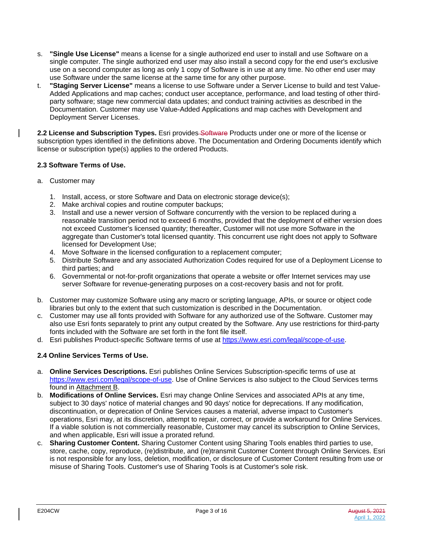- s. **"Single Use License"** means a license for a single authorized end user to install and use Software on a single computer. The single authorized end user may also install a second copy for the end user's exclusive use on a second computer as long as only 1 copy of Software is in use at any time. No other end user may use Software under the same license at the same time for any other purpose.
- t. **"Staging Server License"** means a license to use Software under a Server License to build and test Value-Added Applications and map caches; conduct user acceptance, performance, and load testing of other thirdparty software; stage new commercial data updates; and conduct training activities as described in the Documentation. Customer may use Value-Added Applications and map caches with Development and Deployment Server Licenses.

**2.2 License and Subscription Types.** Esri provides Software Products under one or more of the license or subscription types identified in the definitions above. The Documentation and Ordering Documents identify which license or subscription type(s) applies to the ordered Products.

## **2.3 Software Terms of Use.**

- a. Customer may
	- 1. Install, access, or store Software and Data on electronic storage device(s);
	- 2. Make archival copies and routine computer backups;
	- 3. Install and use a newer version of Software concurrently with the version to be replaced during a reasonable transition period not to exceed 6 months, provided that the deployment of either version does not exceed Customer's licensed quantity; thereafter, Customer will not use more Software in the aggregate than Customer's total licensed quantity. This concurrent use right does not apply to Software licensed for Development Use;
	- 4. Move Software in the licensed configuration to a replacement computer;
	- 5. Distribute Software and any associated Authorization Codes required for use of a Deployment License to third parties; and
	- 6. Governmental or not-for-profit organizations that operate a website or offer Internet services may use server Software for revenue-generating purposes on a cost-recovery basis and not for profit.
- b. Customer may customize Software using any macro or scripting language, APIs, or source or object code libraries but only to the extent that such customization is described in the Documentation.
- c. Customer may use all fonts provided with Software for any authorized use of the Software. Customer may also use Esri fonts separately to print any output created by the Software. Any use restrictions for third-party fonts included with the Software are set forth in the font file itself.
- d. Esri publishes Product-specific Software terms of use at [https://www.esri.com/legal/scope-of-use.](https://www.esri.com/legal/scope-of-use)

# **2.4 Online Services Terms of Use.**

- a. **Online Services Descriptions.** Esri publishes Online Services Subscription-specific terms of use at [https://www.esri.com/legal/scope-of-use.](https://www.esri.com/legal/scope-of-use) Use of Online Services is also subject to the Cloud Services terms found in Attachment B.
- b. **Modifications of Online Services.** Esri may change Online Services and associated APIs at any time, subject to 30 days' notice of material changes and 90 days' notice for deprecations. If any modification, discontinuation, or deprecation of Online Services causes a material, adverse impact to Customer's operations, Esri may, at its discretion, attempt to repair, correct, or provide a workaround for Online Services. If a viable solution is not commercially reasonable, Customer may cancel its subscription to Online Services, and when applicable, Esri will issue a prorated refund.
- c. **Sharing Customer Content.** Sharing Customer Content using Sharing Tools enables third parties to use, store, cache, copy, reproduce, (re)distribute, and (re)transmit Customer Content through Online Services. Esri is not responsible for any loss, deletion, modification, or disclosure of Customer Content resulting from use or misuse of Sharing Tools. Customer's use of Sharing Tools is at Customer's sole risk.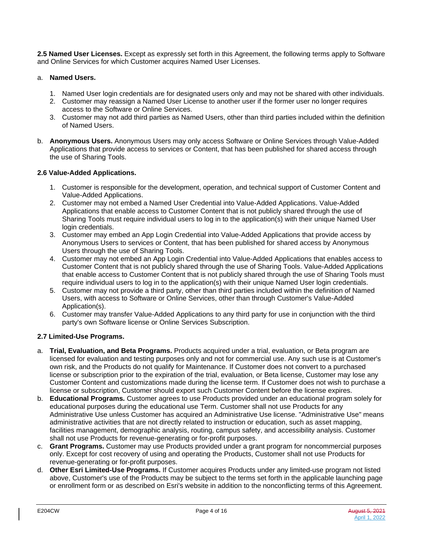**2.5 Named User Licenses.** Except as expressly set forth in this Agreement, the following terms apply to Software and Online Services for which Customer acquires Named User Licenses.

## a. **Named Users.**

- 1. Named User login credentials are for designated users only and may not be shared with other individuals.
- 2. Customer may reassign a Named User License to another user if the former user no longer requires access to the Software or Online Services.
- 3. Customer may not add third parties as Named Users, other than third parties included within the definition of Named Users.
- b. **Anonymous Users.** Anonymous Users may only access Software or Online Services through Value-Added Applications that provide access to services or Content, that has been published for shared access through the use of Sharing Tools.

## **2.6 Value-Added Applications.**

- 1. Customer is responsible for the development, operation, and technical support of Customer Content and Value-Added Applications.
- 2. Customer may not embed a Named User Credential into Value-Added Applications. Value-Added Applications that enable access to Customer Content that is not publicly shared through the use of Sharing Tools must require individual users to log in to the application(s) with their unique Named User login credentials.
- 3. Customer may embed an App Login Credential into Value-Added Applications that provide access by Anonymous Users to services or Content, that has been published for shared access by Anonymous Users through the use of Sharing Tools.
- 4. Customer may not embed an App Login Credential into Value-Added Applications that enables access to Customer Content that is not publicly shared through the use of Sharing Tools. Value-Added Applications that enable access to Customer Content that is not publicly shared through the use of Sharing Tools must require individual users to log in to the application(s) with their unique Named User login credentials.
- 5. Customer may not provide a third party, other than third parties included within the definition of Named Users, with access to Software or Online Services, other than through Customer's Value-Added Application(s).
- 6. Customer may transfer Value-Added Applications to any third party for use in conjunction with the third party's own Software license or Online Services Subscription.

## **2.7 Limited-Use Programs.**

- a. **Trial, Evaluation, and Beta Programs.** Products acquired under a trial, evaluation, or Beta program are licensed for evaluation and testing purposes only and not for commercial use. Any such use is at Customer's own risk, and the Products do not qualify for Maintenance. If Customer does not convert to a purchased license or subscription prior to the expiration of the trial, evaluation, or Beta license, Customer may lose any Customer Content and customizations made during the license term. If Customer does not wish to purchase a license or subscription, Customer should export such Customer Content before the license expires.
- b. **Educational Programs***.* Customer agrees to use Products provided under an educational program solely for educational purposes during the educational use Term. Customer shall not use Products for any Administrative Use unless Customer has acquired an Administrative Use license. "Administrative Use" means administrative activities that are not directly related to instruction or education, such as asset mapping, facilities management, demographic analysis, routing, campus safety, and accessibility analysis. Customer shall not use Products for revenue-generating or for-profit purposes.
- c. **Grant Programs.** Customer may use Products provided under a grant program for noncommercial purposes only. Except for cost recovery of using and operating the Products, Customer shall not use Products for revenue-generating or for-profit purposes.
- d. **Other Esri Limited-Use Programs.** If Customer acquires Products under any limited-use program not listed above, Customer's use of the Products may be subject to the terms set forth in the applicable launching page or enrollment form or as described on Esri's website in addition to the nonconflicting terms of this Agreement.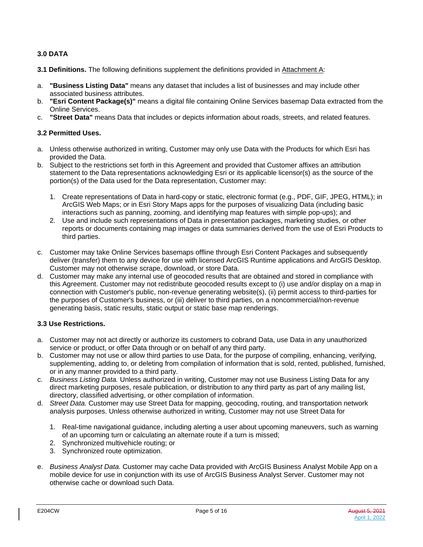## **3.0 DATA**

**3.1 Definitions.** The following definitions supplement the definitions provided in Attachment A:

- a. **"Business Listing Data"** means any dataset that includes a list of businesses and may include other associated business attributes.
- b. **"Esri Content Package(s)"** means a digital file containing Online Services basemap Data extracted from the Online Services.
- c. **"Street Data"** means Data that includes or depicts information about roads, streets, and related features.

## **3.2 Permitted Uses.**

- a. Unless otherwise authorized in writing, Customer may only use Data with the Products for which Esri has provided the Data.
- b. Subject to the restrictions set forth in this Agreement and provided that Customer affixes an attribution statement to the Data representations acknowledging Esri or its applicable licensor(s) as the source of the portion(s) of the Data used for the Data representation, Customer may:
	- 1. Create representations of Data in hard-copy or static, electronic format (e.g., PDF, GIF, JPEG, HTML); in ArcGIS Web Maps; or in Esri Story Maps apps for the purposes of visualizing Data (including basic interactions such as panning, zooming, and identifying map features with simple pop-ups); and
	- 2. Use and include such representations of Data in presentation packages, marketing studies, or other reports or documents containing map images or data summaries derived from the use of Esri Products to third parties.
- c. Customer may take Online Services basemaps offline through Esri Content Packages and subsequently deliver (transfer) them to any device for use with licensed ArcGIS Runtime applications and ArcGIS Desktop. Customer may not otherwise scrape, download, or store Data.
- d. Customer may make any internal use of geocoded results that are obtained and stored in compliance with this Agreement. Customer may not redistribute geocoded results except to (i) use and/or display on a map in connection with Customer's public, non-revenue generating website(s), (ii) permit access to third-parties for the purposes of Customer's business, or (iii) deliver to third parties, on a noncommercial/non-revenue generating basis, static results, static output or static base map renderings.

## **3.3 Use Restrictions.**

- a. Customer may not act directly or authorize its customers to cobrand Data, use Data in any unauthorized service or product, or offer Data through or on behalf of any third party.
- b. Customer may not use or allow third parties to use Data, for the purpose of compiling, enhancing, verifying, supplementing, adding to, or deleting from compilation of information that is sold, rented, published, furnished, or in any manner provided to a third party.
- c. *Business Listing Data.* Unless authorized in writing, Customer may not use Business Listing Data for any direct marketing purposes, resale publication, or distribution to any third party as part of any mailing list, directory, classified advertising, or other compilation of information.
- d. *Street Data.* Customer may use Street Data for mapping, geocoding, routing, and transportation network analysis purposes. Unless otherwise authorized in writing, Customer may not use Street Data for
	- 1. Real-time navigational guidance, including alerting a user about upcoming maneuvers, such as warning of an upcoming turn or calculating an alternate route if a turn is missed;
	- 2. Synchronized multivehicle routing; or
	- 3. Synchronized route optimization.
- e. *Business Analyst Data.* Customer may cache Data provided with ArcGIS Business Analyst Mobile App on a mobile device for use in conjunction with its use of ArcGIS Business Analyst Server. Customer may not otherwise cache or download such Data.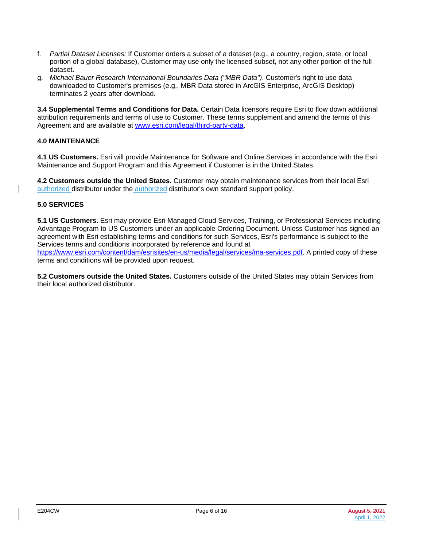- f. *Partial Dataset Licenses:* If Customer orders a subset of a dataset (e.g., a country, region, state, or local portion of a global database), Customer may use only the licensed subset, not any other portion of the full dataset.
- g. *Michael Bauer Research International Boundaries Data ("MBR Data")*. Customer's right to use data downloaded to Customer's premises (e.g., MBR Data stored in ArcGIS Enterprise, ArcGIS Desktop) terminates 2 years after download.

**3.4 Supplemental Terms and Conditions for Data.** Certain Data licensors require Esri to flow down additional attribution requirements and terms of use to Customer. These terms supplement and amend the terms of this Agreement and are available at [www.esri.com/legal/third-party-data.](https://www.esri.com/legal/third-party-data)

## **4.0 MAINTENANCE**

**4.1 US Customers.** Esri will provide Maintenance for Software and Online Services in accordance with the Esri Maintenance and Support Program and this Agreement if Customer is in the United States.

**4.2 Customers outside the United States.** Customer may obtain maintenance services from their local Esri authorized distributor under the authorized distributor's own standard support policy.

## **5.0 SERVICES**

**5.1 US Customers.** Esri may provide Esri Managed Cloud Services, Training, or Professional Services including Advantage Program to US Customers under an applicable Ordering Document. Unless Customer has signed an agreement with Esri establishing terms and conditions for such Services, Esri's performance is subject to the Services terms and conditions incorporated by reference and found at

[https://www.esri.com/content/dam/esrisites/en-us/media/legal/services/ma-services.pdf.](https://www.esri.com/content/dam/esrisites/en-us/media/legal/services/ma-services.pdf) A printed copy of these terms and conditions will be provided upon request.

**5.2 Customers outside the United States.** Customers outside of the United States may obtain Services from their local authorized distributor.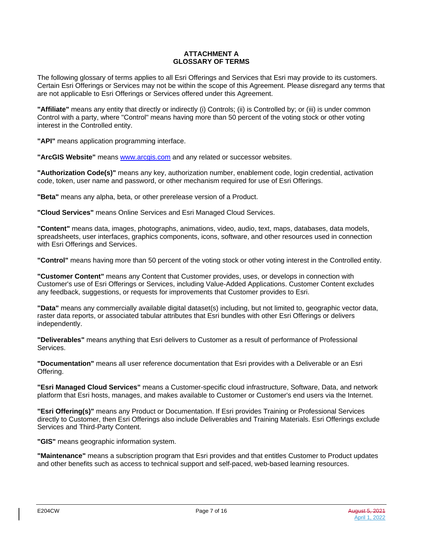#### **ATTACHMENT A GLOSSARY OF TERMS**

The following glossary of terms applies to all Esri Offerings and Services that Esri may provide to its customers. Certain Esri Offerings or Services may not be within the scope of this Agreement. Please disregard any terms that are not applicable to Esri Offerings or Services offered under this Agreement.

**"Affiliate"** means any entity that directly or indirectly (i) Controls; (ii) is Controlled by; or (iii) is under common Control with a party, where "Control" means having more than 50 percent of the voting stock or other voting interest in the Controlled entity.

**"API"** means application programming interface.

**"ArcGIS Website"** means [www.arcgis.com](https://www.arcgis.com/) and any related or successor websites.

**"Authorization Code(s)"** means any key, authorization number, enablement code, login credential, activation code, token, user name and password, or other mechanism required for use of Esri Offerings.

**"Beta"** means any alpha, beta, or other prerelease version of a Product.

**"Cloud Services"** means Online Services and Esri Managed Cloud Services.

**"Content"** means data, images, photographs, animations, video, audio, text, maps, databases, data models, spreadsheets, user interfaces, graphics components, icons, software, and other resources used in connection with Esri Offerings and Services.

**"Control"** means having more than 50 percent of the voting stock or other voting interest in the Controlled entity.

**"Customer Content"** means any Content that Customer provides, uses, or develops in connection with Customer's use of Esri Offerings or Services, including Value-Added Applications. Customer Content excludes any feedback, suggestions, or requests for improvements that Customer provides to Esri.

**"Data"** means any commercially available digital dataset(s) including, but not limited to, geographic vector data, raster data reports, or associated tabular attributes that Esri bundles with other Esri Offerings or delivers independently.

**"Deliverables"** means anything that Esri delivers to Customer as a result of performance of Professional Services.

**"Documentation"** means all user reference documentation that Esri provides with a Deliverable or an Esri Offering.

**"Esri Managed Cloud Services"** means a Customer-specific cloud infrastructure, Software, Data, and network platform that Esri hosts, manages, and makes available to Customer or Customer's end users via the Internet.

**"Esri Offering(s)"** means any Product or Documentation. If Esri provides Training or Professional Services directly to Customer, then Esri Offerings also include Deliverables and Training Materials. Esri Offerings exclude Services and Third-Party Content.

**"GIS"** means geographic information system.

**"Maintenance"** means a subscription program that Esri provides and that entitles Customer to Product updates and other benefits such as access to technical support and self-paced, web-based learning resources.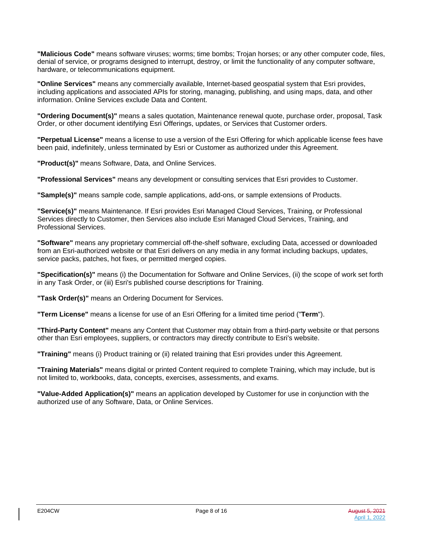**"Malicious Code"** means software viruses; worms; time bombs; Trojan horses; or any other computer code, files, denial of service, or programs designed to interrupt, destroy, or limit the functionality of any computer software, hardware, or telecommunications equipment.

**"Online Services"** means any commercially available, Internet-based geospatial system that Esri provides, including applications and associated APIs for storing, managing, publishing, and using maps, data, and other information. Online Services exclude Data and Content.

**"Ordering Document(s)"** means a sales quotation, Maintenance renewal quote, purchase order, proposal, Task Order, or other document identifying Esri Offerings, updates, or Services that Customer orders.

**"Perpetual License"** means a license to use a version of the Esri Offering for which applicable license fees have been paid, indefinitely, unless terminated by Esri or Customer as authorized under this Agreement.

**"Product(s)"** means Software, Data, and Online Services.

**"Professional Services"** means any development or consulting services that Esri provides to Customer.

**"Sample(s)"** means sample code, sample applications, add-ons, or sample extensions of Products.

**"Service(s)"** means Maintenance. If Esri provides Esri Managed Cloud Services, Training, or Professional Services directly to Customer, then Services also include Esri Managed Cloud Services, Training, and Professional Services.

**"Software"** means any proprietary commercial off-the-shelf software, excluding Data, accessed or downloaded from an Esri-authorized website or that Esri delivers on any media in any format including backups, updates, service packs, patches, hot fixes, or permitted merged copies.

**"Specification(s)"** means (i) the Documentation for Software and Online Services, (ii) the scope of work set forth in any Task Order, or (iii) Esri's published course descriptions for Training.

**"Task Order(s)"** means an Ordering Document for Services.

**"Term License"** means a license for use of an Esri Offering for a limited time period ("**Term**").

**"Third-Party Content"** means any Content that Customer may obtain from a third-party website or that persons other than Esri employees, suppliers, or contractors may directly contribute to Esri's website.

**"Training"** means (i) Product training or (ii) related training that Esri provides under this Agreement.

**"Training Materials"** means digital or printed Content required to complete Training, which may include, but is not limited to, workbooks, data, concepts, exercises, assessments, and exams.

**"Value-Added Application(s)"** means an application developed by Customer for use in conjunction with the authorized use of any Software, Data, or Online Services.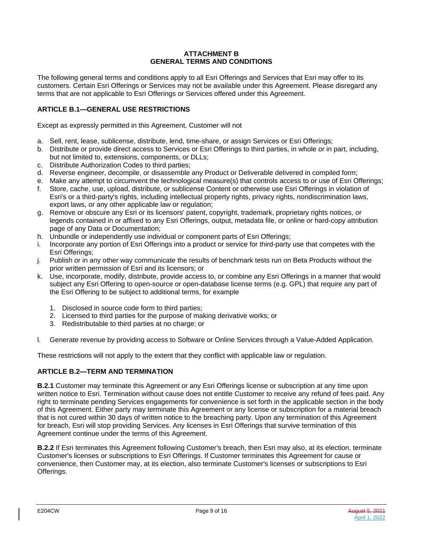### **ATTACHMENT B GENERAL TERMS AND CONDITIONS**

The following general terms and conditions apply to all Esri Offerings and Services that Esri may offer to its customers. Certain Esri Offerings or Services may not be available under this Agreement. Please disregard any terms that are not applicable to Esri Offerings or Services offered under this Agreement.

## **ARTICLE B.1—GENERAL USE RESTRICTIONS**

Except as expressly permitted in this Agreement, Customer will not

- a. Sell, rent, lease, sublicense, distribute, lend, time-share, or assign Services or Esri Offerings;
- b. Distribute or provide direct access to Services or Esri Offerings to third parties, in whole or in part, including, but not limited to, extensions, components, or DLLs;
- c. Distribute Authorization Codes to third parties;
- d. Reverse engineer, decompile, or disassemble any Product or Deliverable delivered in compiled form;
- e. Make any attempt to circumvent the technological measure(s) that controls access to or use of Esri Offerings;
- f. Store, cache, use, upload, distribute, or sublicense Content or otherwise use Esri Offerings in violation of Esri's or a third-party's rights, including intellectual property rights, privacy rights, nondiscrimination laws, export laws, or any other applicable law or regulation;
- g. Remove or obscure any Esri or its licensors' patent, copyright, trademark, proprietary rights notices, or legends contained in or affixed to any Esri Offerings, output, metadata file, or online or hard-copy attribution page of any Data or Documentation;
- h. Unbundle or independently use individual or component parts of Esri Offerings;
- i. Incorporate any portion of Esri Offerings into a product or service for third-party use that competes with the Esri Offerings;
- j. Publish or in any other way communicate the results of benchmark tests run on Beta Products without the prior written permission of Esri and its licensors; or
- k. Use, incorporate, modify, distribute, provide access to, or combine any Esri Offerings in a manner that would subject any Esri Offering to open-source or open-database license terms (e.g. GPL) that require any part of the Esri Offering to be subject to additional terms, for example
	- 1. Disclosed in source code form to third parties;
	- 2. Licensed to third parties for the purpose of making derivative works; or
	- 3. Redistributable to third parties at no charge; or
- l. Generate revenue by providing access to Software or Online Services through a Value-Added Application.

These restrictions will not apply to the extent that they conflict with applicable law or regulation.

#### **ARTICLE B.2—TERM AND TERMINATION**

**B.2.1** Customer may terminate this Agreement or any Esri Offerings license or subscription at any time upon written notice to Esri. Termination without cause does not entitle Customer to receive any refund of fees paid. Any right to terminate pending Services engagements for convenience is set forth in the applicable section in the body of this Agreement. Either party may terminate this Agreement or any license or subscription for a material breach that is not cured within 30 days of written notice to the breaching party. Upon any termination of this Agreement for breach, Esri will stop providing Services. Any licenses in Esri Offerings that survive termination of this Agreement continue under the terms of this Agreement.

**B.2.2** If Esri terminates this Agreement following Customer's breach, then Esri may also, at its election, terminate Customer's licenses or subscriptions to Esri Offerings. If Customer terminates this Agreement for cause or convenience, then Customer may, at its election, also terminate Customer's licenses or subscriptions to Esri Offerings.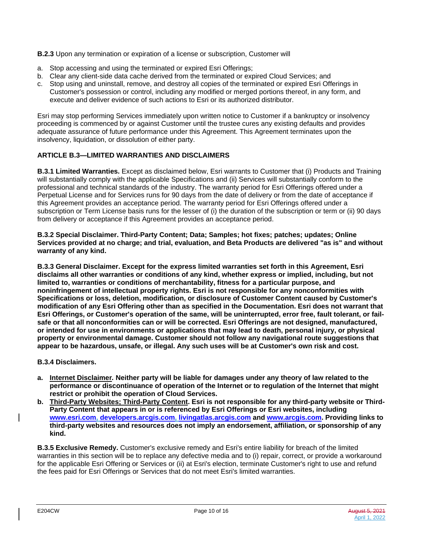**B.2.3** Upon any termination or expiration of a license or subscription, Customer will

- a. Stop accessing and using the terminated or expired Esri Offerings;
- b. Clear any client-side data cache derived from the terminated or expired Cloud Services; and
- c. Stop using and uninstall, remove, and destroy all copies of the terminated or expired Esri Offerings in Customer's possession or control, including any modified or merged portions thereof, in any form, and execute and deliver evidence of such actions to Esri or its authorized distributor.

Esri may stop performing Services immediately upon written notice to Customer if a bankruptcy or insolvency proceeding is commenced by or against Customer until the trustee cures any existing defaults and provides adequate assurance of future performance under this Agreement. This Agreement terminates upon the insolvency, liquidation, or dissolution of either party.

## **ARTICLE B.3—LIMITED WARRANTIES AND DISCLAIMERS**

**B.3.1 Limited Warranties.** Except as disclaimed below, Esri warrants to Customer that (i) Products and Training will substantially comply with the applicable Specifications and (ii) Services will substantially conform to the professional and technical standards of the industry. The warranty period for Esri Offerings offered under a Perpetual License and for Services runs for 90 days from the date of delivery or from the date of acceptance if this Agreement provides an acceptance period. The warranty period for Esri Offerings offered under a subscription or Term License basis runs for the lesser of (i) the duration of the subscription or term or (ii) 90 days from delivery or acceptance if this Agreement provides an acceptance period.

**B.3.2 Special Disclaimer. Third-Party Content; Data; Samples; hot fixes; patches; updates; Online Services provided at no charge; and trial, evaluation, and Beta Products are delivered "as is" and without warranty of any kind.**

**B.3.3 General Disclaimer. Except for the express limited warranties set forth in this Agreement, Esri disclaims all other warranties or conditions of any kind, whether express or implied, including, but not limited to, warranties or conditions of merchantability, fitness for a particular purpose, and noninfringement of intellectual property rights. Esri is not responsible for any nonconformities with Specifications or loss, deletion, modification, or disclosure of Customer Content caused by Customer's modification of any Esri Offering other than as specified in the Documentation. Esri does not warrant that Esri Offerings, or Customer's operation of the same, will be uninterrupted, error free, fault tolerant, or failsafe or that all nonconformities can or will be corrected. Esri Offerings are not designed, manufactured, or intended for use in environments or applications that may lead to death, personal injury, or physical property or environmental damage. Customer should not follow any navigational route suggestions that appear to be hazardous, unsafe, or illegal. Any such uses will be at Customer's own risk and cost.**

**B.3.4 Disclaimers.**

- **a. Internet Disclaimer***.* **Neither party will be liable for damages under any theory of law related to the performance or discontinuance of operation of the Internet or to regulation of the Internet that might restrict or prohibit the operation of Cloud Services.**
- **b. Third-Party Websites; Third-Party Content. Esri is not responsible for any third-party website or Third-Party Content that appears in or is referenced by Esri Offerings or Esri websites, including [www.esri.com,](https://www.esri.com/) [developers.arcgis.com,](https://developers.arcgis.com/) [livingatlas.arcgis.com](https://livingatlas.arcgis.com/) and [www.arcgis.com.](https://www.arcgis.com/) Providing links to third-party websites and resources does not imply an endorsement, affiliation, or sponsorship of any kind.**

**B.3.5 Exclusive Remedy.** Customer's exclusive remedy and Esri's entire liability for breach of the limited warranties in this section will be to replace any defective media and to (i) repair, correct, or provide a workaround for the applicable Esri Offering or Services or (ii) at Esri's election, terminate Customer's right to use and refund the fees paid for Esri Offerings or Services that do not meet Esri's limited warranties.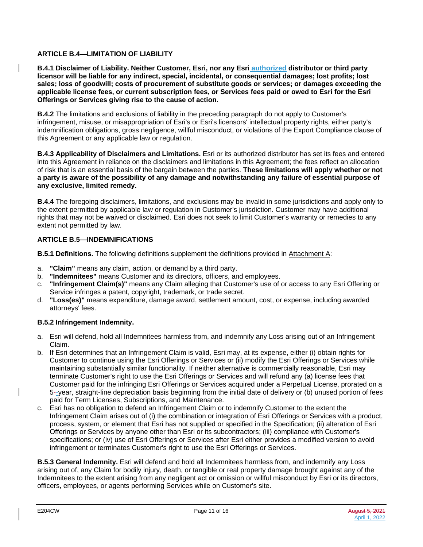## **ARTICLE B.4—LIMITATION OF LIABILITY**

**B.4.1 Disclaimer of Liability. Neither Customer, Esri, nor any Esri authorized distributor or third party licensor will be liable for any indirect, special, incidental, or consequential damages; lost profits; lost sales; loss of goodwill; costs of procurement of substitute goods or services; or damages exceeding the applicable license fees, or current subscription fees, or Services fees paid or owed to Esri for the Esri Offerings or Services giving rise to the cause of action.**

**B.4.2** The limitations and exclusions of liability in the preceding paragraph do not apply to Customer's infringement, misuse, or misappropriation of Esri's or Esri's licensors' intellectual property rights, either party's indemnification obligations, gross negligence, willful misconduct, or violations of the Export Compliance clause of this Agreement or any applicable law or regulation.

**B.4.3 Applicability of Disclaimers and Limitations.** Esri or its authorized distributor has set its fees and entered into this Agreement in reliance on the disclaimers and limitations in this Agreement; the fees reflect an allocation of risk that is an essential basis of the bargain between the parties. **These limitations will apply whether or not a party is aware of the possibility of any damage and notwithstanding any failure of essential purpose of any exclusive, limited remedy.**

**B.4.4** The foregoing disclaimers, limitations, and exclusions may be invalid in some jurisdictions and apply only to the extent permitted by applicable law or regulation in Customer's jurisdiction. Customer may have additional rights that may not be waived or disclaimed. Esri does not seek to limit Customer's warranty or remedies to any extent not permitted by law.

## **ARTICLE B.5—INDEMNIFICATIONS**

**B.5.1 Definitions.** The following definitions supplement the definitions provided in Attachment A:

- a. **"Claim"** means any claim, action, or demand by a third party.
- b. **"Indemnitees"** means Customer and its directors, officers, and employees.
- c. **"Infringement Claim(s)"** means any Claim alleging that Customer's use of or access to any Esri Offering or Service infringes a patent, copyright, trademark, or trade secret.
- d. **"Loss(es)"** means expenditure, damage award, settlement amount, cost, or expense, including awarded attorneys' fees.

## **B.5.2 Infringement Indemnity.**

- a. Esri will defend, hold all Indemnitees harmless from, and indemnify any Loss arising out of an Infringement Claim.
- b. If Esri determines that an Infringement Claim is valid, Esri may, at its expense, either (i) obtain rights for Customer to continue using the Esri Offerings or Services or (ii) modify the Esri Offerings or Services while maintaining substantially similar functionality. If neither alternative is commercially reasonable, Esri may terminate Customer's right to use the Esri Offerings or Services and will refund any (a) license fees that Customer paid for the infringing Esri Offerings or Services acquired under a Perpetual License, prorated on a 5--year, straight-line depreciation basis beginning from the initial date of delivery or (b) unused portion of fees paid for Term Licenses, Subscriptions, and Maintenance.
- c. Esri has no obligation to defend an Infringement Claim or to indemnify Customer to the extent the Infringement Claim arises out of (i) the combination or integration of Esri Offerings or Services with a product, process, system, or element that Esri has not supplied or specified in the Specification; (ii) alteration of Esri Offerings or Services by anyone other than Esri or its subcontractors; (iii) compliance with Customer's specifications; or (iv) use of Esri Offerings or Services after Esri either provides a modified version to avoid infringement or terminates Customer's right to use the Esri Offerings or Services.

**B.5.3 General Indemnity.** Esri will defend and hold all Indemnitees harmless from, and indemnify any Loss arising out of, any Claim for bodily injury, death, or tangible or real property damage brought against any of the Indemnitees to the extent arising from any negligent act or omission or willful misconduct by Esri or its directors, officers, employees, or agents performing Services while on Customer's site.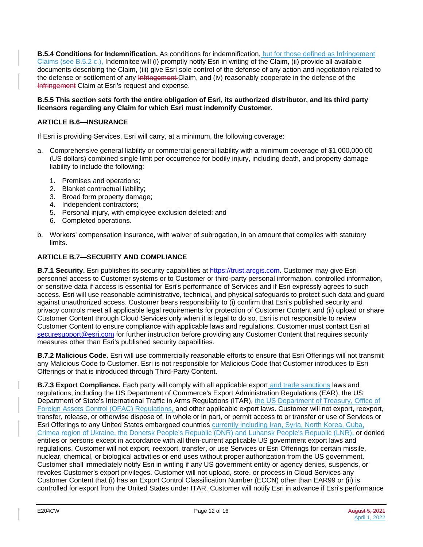**B.5.4 Conditions for Indemnification.** As conditions for indemnification, but for those defined as Infringement Claims (see B.5.2 c.), Indemnitee will (i) promptly notify Esri in writing of the Claim, (ii) provide all available documents describing the Claim, (iii) give Esri sole control of the defense of any action and negotiation related to the defense or settlement of any Infringement Claim, and (iv) reasonably cooperate in the defense of the Infringement Claim at Esri's request and expense.

## **B.5.5 This section sets forth the entire obligation of Esri, its authorized distributor, and its third party licensors regarding any Claim for which Esri must indemnify Customer.**

# **ARTICLE B.6—INSURANCE**

If Esri is providing Services, Esri will carry, at a minimum, the following coverage:

- a. Comprehensive general liability or commercial general liability with a minimum coverage of \$1,000,000.00 (US dollars) combined single limit per occurrence for bodily injury, including death, and property damage liability to include the following:
	- 1. Premises and operations;
	- 2. Blanket contractual liability;
	- 3. Broad form property damage;
	- 4. Independent contractors;
	- 5. Personal injury, with employee exclusion deleted; and
	- 6. Completed operations.
- b. Workers' compensation insurance, with waiver of subrogation, in an amount that complies with statutory limits.

## **ARTICLE B.7—SECURITY AND COMPLIANCE**

**B.7.1 Security.** Esri publishes its security capabilities at [https://trust.arcgis.com.](https://trust.arcgis.com/) Customer may give Esri personnel access to Customer systems or to Customer or third-party personal information, controlled information, or sensitive data if access is essential for Esri's performance of Services and if Esri expressly agrees to such access. Esri will use reasonable administrative, technical, and physical safeguards to protect such data and guard against unauthorized access. Customer bears responsibility to (i) confirm that Esri's published security and privacy controls meet all applicable legal requirements for protection of Customer Content and (ii) upload or share Customer Content through Cloud Services only when it is legal to do so. Esri is not responsible to review Customer Content to ensure compliance with applicable laws and regulations. Customer must contact Esri at [securesupport@esri.com](mailto:securesupport@esri.com) for further instruction before providing any Customer Content that requires security measures other than Esri's published security capabilities.

**B.7.2 Malicious Code.** Esri will use commercially reasonable efforts to ensure that Esri Offerings will not transmit any Malicious Code to Customer. Esri is not responsible for Malicious Code that Customer introduces to Esri Offerings or that is introduced through Third-Party Content.

**B.7.3 Export Compliance.** Each party will comply with all applicable export and trade sanctions laws and regulations, including the US Department of Commerce's Export Administration Regulations (EAR), the US Department of State's International Traffic in Arms Regulations (ITAR), the US Department of Treasury, Office of Foreign Assets Control (OFAC) Regulations, and other applicable export laws. Customer will not export, reexport, transfer, release, or otherwise dispose of, in whole or in part, or permit access to or transfer or use of Services or Esri Offerings to any United States embargoed countries currently including Iran, Syria, North Korea, Cuba, Crimea region of Ukraine, the Donetsk People's Republic (DNR) and Luhansk People's Republic (LNR), or denied entities or persons except in accordance with all then-current applicable US government export laws and regulations. Customer will not export, reexport, transfer, or use Services or Esri Offerings for certain missile, nuclear, chemical, or biological activities or end uses without proper authorization from the US government. Customer shall immediately notify Esri in writing if any US government entity or agency denies, suspends, or revokes Customer's export privileges. Customer will not upload, store, or process in Cloud Services any Customer Content that (i) has an Export Control Classification Number (ECCN) other than EAR99 or (ii) is controlled for export from the United States under ITAR. Customer will notify Esri in advance if Esri's performance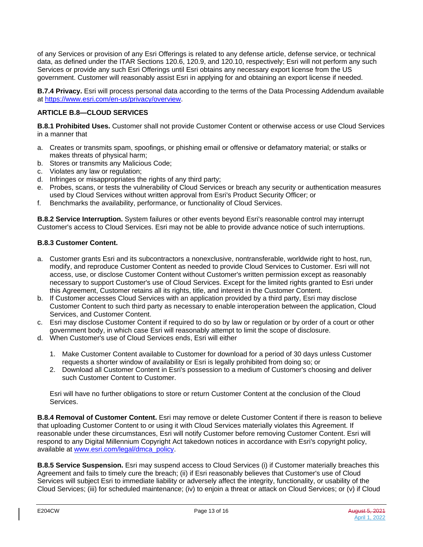of any Services or provision of any Esri Offerings is related to any defense article, defense service, or technical data, as defined under the ITAR Sections 120.6, 120.9, and 120.10, respectively; Esri will not perform any such Services or provide any such Esri Offerings until Esri obtains any necessary export license from the US government. Customer will reasonably assist Esri in applying for and obtaining an export license if needed.

**B.7.4 Privacy.** Esri will process personal data according to the terms of the Data Processing Addendum available at [https://www.esri.com/en-us/privacy/overview.](https://www.esri.com/en-us/privacy/overview)

# **ARTICLE B.8—CLOUD SERVICES**

**B.8.1 Prohibited Uses.** Customer shall not provide Customer Content or otherwise access or use Cloud Services in a manner that

- a. Creates or transmits spam, spoofings, or phishing email or offensive or defamatory material; or stalks or makes threats of physical harm;
- b. Stores or transmits any Malicious Code;
- c. Violates any law or regulation;
- d. Infringes or misappropriates the rights of any third party;
- e. Probes, scans, or tests the vulnerability of Cloud Services or breach any security or authentication measures used by Cloud Services without written approval from Esri's Product Security Officer; or
- f. Benchmarks the availability, performance, or functionality of Cloud Services.

**B.8.2 Service Interruption.** System failures or other events beyond Esri's reasonable control may interrupt Customer's access to Cloud Services. Esri may not be able to provide advance notice of such interruptions.

## **B.8.3 Customer Content.**

- a. Customer grants Esri and its subcontractors a nonexclusive, nontransferable, worldwide right to host, run, modify, and reproduce Customer Content as needed to provide Cloud Services to Customer. Esri will not access, use, or disclose Customer Content without Customer's written permission except as reasonably necessary to support Customer's use of Cloud Services. Except for the limited rights granted to Esri under this Agreement, Customer retains all its rights, title, and interest in the Customer Content.
- b. If Customer accesses Cloud Services with an application provided by a third party, Esri may disclose Customer Content to such third party as necessary to enable interoperation between the application, Cloud Services, and Customer Content.
- c. Esri may disclose Customer Content if required to do so by law or regulation or by order of a court or other government body, in which case Esri will reasonably attempt to limit the scope of disclosure.
- d. When Customer's use of Cloud Services ends, Esri will either
	- 1. Make Customer Content available to Customer for download for a period of 30 days unless Customer requests a shorter window of availability or Esri is legally prohibited from doing so; or
	- 2. Download all Customer Content in Esri's possession to a medium of Customer's choosing and deliver such Customer Content to Customer.

Esri will have no further obligations to store or return Customer Content at the conclusion of the Cloud Services.

**B.8.4 Removal of Customer Content.** Esri may remove or delete Customer Content if there is reason to believe that uploading Customer Content to or using it with Cloud Services materially violates this Agreement. If reasonable under these circumstances, Esri will notify Customer before removing Customer Content. Esri will respond to any Digital Millennium Copyright Act takedown notices in accordance with Esri's copyright policy, available at [www.esri.com/legal/dmca\\_policy.](https://www.esri.com/legal/dmca_policy)

**B.8.5 Service Suspension.** Esri may suspend access to Cloud Services (i) if Customer materially breaches this Agreement and fails to timely cure the breach; (ii) if Esri reasonably believes that Customer's use of Cloud Services will subject Esri to immediate liability or adversely affect the integrity, functionality, or usability of the Cloud Services; (iii) for scheduled maintenance; (iv) to enjoin a threat or attack on Cloud Services; or (v) if Cloud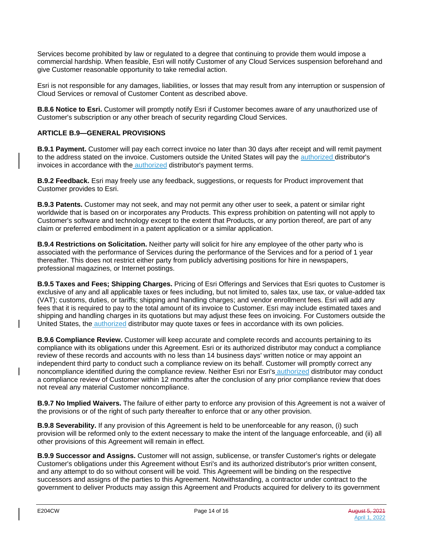Services become prohibited by law or regulated to a degree that continuing to provide them would impose a commercial hardship. When feasible, Esri will notify Customer of any Cloud Services suspension beforehand and give Customer reasonable opportunity to take remedial action.

Esri is not responsible for any damages, liabilities, or losses that may result from any interruption or suspension of Cloud Services or removal of Customer Content as described above.

**B.8.6 Notice to Esri.** Customer will promptly notify Esri if Customer becomes aware of any unauthorized use of Customer's subscription or any other breach of security regarding Cloud Services.

## **ARTICLE B.9—GENERAL PROVISIONS**

**B.9.1 Payment.** Customer will pay each correct invoice no later than 30 days after receipt and will remit payment to the address stated on the invoice. Customers outside the United States will pay the authorized distributor's invoices in accordance with the authorized distributor's payment terms.

**B.9.2 Feedback.** Esri may freely use any feedback, suggestions, or requests for Product improvement that Customer provides to Esri.

**B.9.3 Patents.** Customer may not seek, and may not permit any other user to seek, a patent or similar right worldwide that is based on or incorporates any Products. This express prohibition on patenting will not apply to Customer's software and technology except to the extent that Products, or any portion thereof, are part of any claim or preferred embodiment in a patent application or a similar application.

**B.9.4 Restrictions on Solicitation.** Neither party will solicit for hire any employee of the other party who is associated with the performance of Services during the performance of the Services and for a period of 1 year thereafter. This does not restrict either party from publicly advertising positions for hire in newspapers, professional magazines, or Internet postings.

**B.9.5 Taxes and Fees; Shipping Charges.** Pricing of Esri Offerings and Services that Esri quotes to Customer is exclusive of any and all applicable taxes or fees including, but not limited to, sales tax, use tax, or value-added tax (VAT); customs, duties, or tariffs; shipping and handling charges; and vendor enrollment fees. Esri will add any fees that it is required to pay to the total amount of its invoice to Customer. Esri may include estimated taxes and shipping and handling charges in its quotations but may adjust these fees on invoicing. For Customers outside the United States, the authorized distributor may quote taxes or fees in accordance with its own policies.

**B.9.6 Compliance Review.** Customer will keep accurate and complete records and accounts pertaining to its compliance with its obligations under this Agreement. Esri or its authorized distributor may conduct a compliance review of these records and accounts with no less than 14 business days' written notice or may appoint an independent third party to conduct such a compliance review on its behalf. Customer will promptly correct any noncompliance identified during the compliance review. Neither Esri nor Esri's authorized distributor may conduct a compliance review of Customer within 12 months after the conclusion of any prior compliance review that does not reveal any material Customer noncompliance.

**B.9.7 No Implied Waivers.** The failure of either party to enforce any provision of this Agreement is not a waiver of the provisions or of the right of such party thereafter to enforce that or any other provision.

**B.9.8 Severability.** If any provision of this Agreement is held to be unenforceable for any reason, (i) such provision will be reformed only to the extent necessary to make the intent of the language enforceable, and (ii) all other provisions of this Agreement will remain in effect.

**B.9.9 Successor and Assigns.** Customer will not assign, sublicense, or transfer Customer's rights or delegate Customer's obligations under this Agreement without Esri's and its authorized distributor's prior written consent, and any attempt to do so without consent will be void. This Agreement will be binding on the respective successors and assigns of the parties to this Agreement. Notwithstanding, a contractor under contract to the government to deliver Products may assign this Agreement and Products acquired for delivery to its government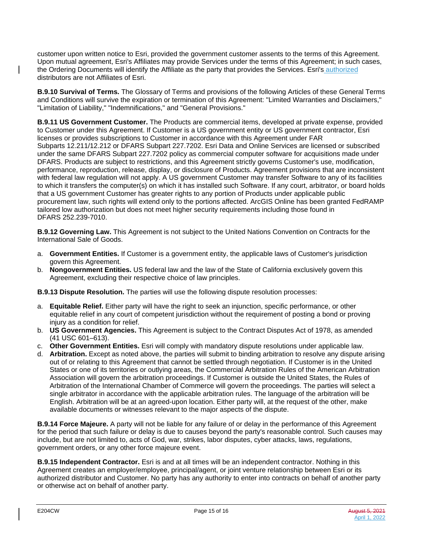customer upon written notice to Esri, provided the government customer assents to the terms of this Agreement. Upon mutual agreement, Esri's Affiliates may provide Services under the terms of this Agreement; in such cases, the Ordering Documents will identify the Affiliate as the party that provides the Services. Esri's authorized distributors are not Affiliates of Esri.

**B.9.10 Survival of Terms.** The Glossary of Terms and provisions of the following Articles of these General Terms and Conditions will survive the expiration or termination of this Agreement: "Limited Warranties and Disclaimers," "Limitation of Liability," "Indemnifications," and "General Provisions."

**B.9.11 US Government Customer.** The Products are commercial items, developed at private expense, provided to Customer under this Agreement. If Customer is a US government entity or US government contractor, Esri licenses or provides subscriptions to Customer in accordance with this Agreement under FAR Subparts 12.211/12.212 or DFARS Subpart 227.7202. Esri Data and Online Services are licensed or subscribed under the same DFARS Subpart 227.7202 policy as commercial computer software for acquisitions made under DFARS. Products are subject to restrictions, and this Agreement strictly governs Customer's use, modification, performance, reproduction, release, display, or disclosure of Products. Agreement provisions that are inconsistent with federal law regulation will not apply. A US government Customer may transfer Software to any of its facilities to which it transfers the computer(s) on which it has installed such Software. If any court, arbitrator, or board holds that a US government Customer has greater rights to any portion of Products under applicable public procurement law, such rights will extend only to the portions affected. ArcGIS Online has been granted FedRAMP tailored low authorization but does not meet higher security requirements including those found in DFARS 252.239-7010.

**B.9.12 Governing Law.** This Agreement is not subject to the United Nations Convention on Contracts for the International Sale of Goods.

- a. **Government Entities.** If Customer is a government entity, the applicable laws of Customer's jurisdiction govern this Agreement.
- b. **Nongovernment Entities.** US federal law and the law of the State of California exclusively govern this Agreement, excluding their respective choice of law principles.
- **B.9.13 Dispute Resolution.** The parties will use the following dispute resolution processes:
- a. **Equitable Relief.** Either party will have the right to seek an injunction, specific performance, or other equitable relief in any court of competent jurisdiction without the requirement of posting a bond or proving injury as a condition for relief.
- b. **US Government Agencies.** This Agreement is subject to the Contract Disputes Act of 1978, as amended (41 USC 601–613).
- c. **Other Government Entities.** Esri will comply with mandatory dispute resolutions under applicable law.
- d. **Arbitration.** Except as noted above, the parties will submit to binding arbitration to resolve any dispute arising out of or relating to this Agreement that cannot be settled through negotiation. If Customer is in the United States or one of its territories or outlying areas, the Commercial Arbitration Rules of the American Arbitration Association will govern the arbitration proceedings. If Customer is outside the United States, the Rules of Arbitration of the International Chamber of Commerce will govern the proceedings. The parties will select a single arbitrator in accordance with the applicable arbitration rules. The language of the arbitration will be English. Arbitration will be at an agreed-upon location. Either party will, at the request of the other, make available documents or witnesses relevant to the major aspects of the dispute.

**B.9.14 Force Majeure.** A party will not be liable for any failure of or delay in the performance of this Agreement for the period that such failure or delay is due to causes beyond the party's reasonable control. Such causes may include, but are not limited to, acts of God, war, strikes, labor disputes, cyber attacks, laws, regulations, government orders, or any other force majeure event.

**B.9.15 Independent Contractor.** Esri is and at all times will be an independent contractor. Nothing in this Agreement creates an employer/employee, principal/agent, or joint venture relationship between Esri or its authorized distributor and Customer. No party has any authority to enter into contracts on behalf of another party or otherwise act on behalf of another party.